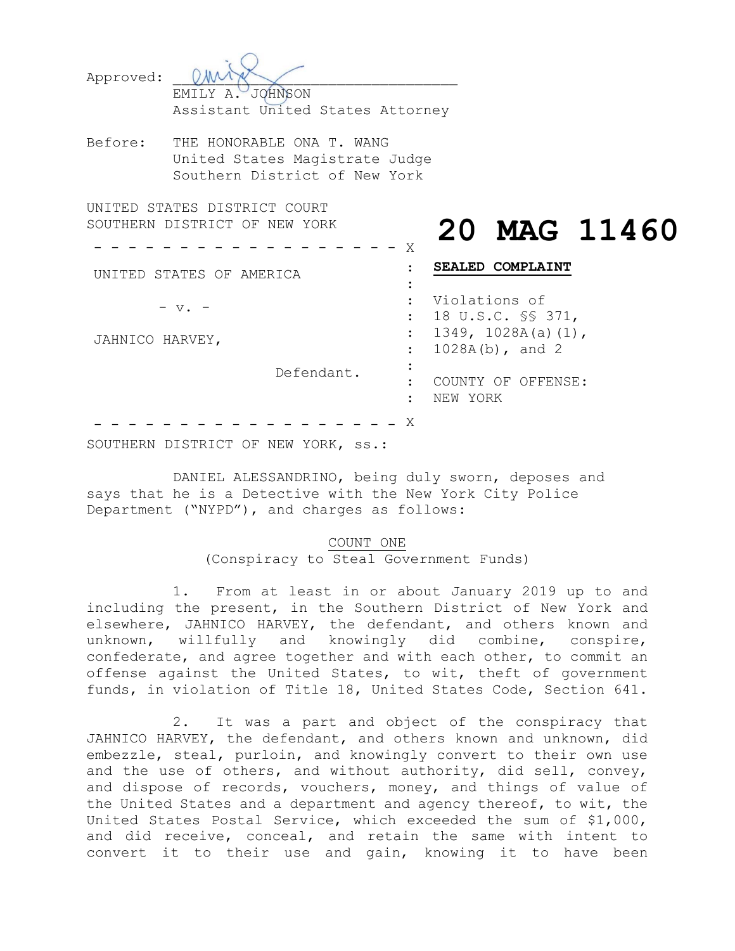| Approved: | JOHNSON<br>EMILY A.<br>Assistant United States Attorney                                      |   |               |                                   |
|-----------|----------------------------------------------------------------------------------------------|---|---------------|-----------------------------------|
| Before:   | THE HONORABLE ONA T. WANG<br>United States Magistrate Judge<br>Southern District of New York |   |               |                                   |
|           | UNITED STATES DISTRICT COURT<br>SOUTHERN DISTRICT OF NEW YORK                                | Χ |               | 20 MAG                            |
| UNTTED    | STATES OF AMERICA                                                                            |   | <b>SEALED</b> | <b>COMPLAINT</b>                  |
|           |                                                                                              |   |               | Violations of<br>18 U.S.C. SS 371 |

JAHNICO HARVEY,

Defendant.

# **20 MAG 11460**

: of  $SS 371,$ 1349, 1028A(a)(1), 1028A(b), and 2 COUNTY OF OFFENSE: NEW YORK

 $X$ 

SOUTHERN DISTRICT OF NEW YORK, ss.:

DANIEL ALESSANDRINO, being duly sworn, deposes and says that he is a Detective with the New York City Police Department ("NYPD"), and charges as follows:

# COUNT ONE (Conspiracy to Steal Government Funds)

: : : :

1. From at least in or about January 2019 up to and including the present, in the Southern District of New York and elsewhere, JAHNICO HARVEY, the defendant, and others known and unknown, willfully and knowingly did combine, conspire, confederate, and agree together and with each other, to commit an offense against the United States, to wit, theft of government funds, in violation of Title 18, United States Code, Section 641.

2. It was a part and object of the conspiracy that JAHNICO HARVEY, the defendant, and others known and unknown, did embezzle, steal, purloin, and knowingly convert to their own use and the use of others, and without authority, did sell, convey, and dispose of records, vouchers, money, and things of value of the United States and a department and agency thereof, to wit, the United States Postal Service, which exceeded the sum of \$1,000, and did receive, conceal, and retain the same with intent to convert it to their use and gain, knowing it to have been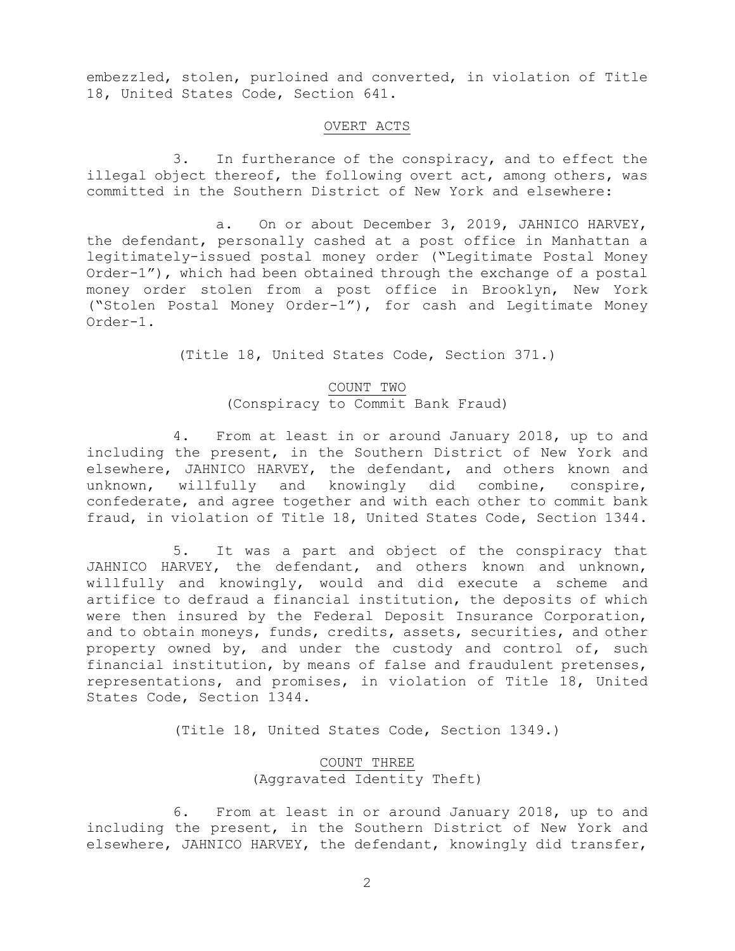embezzled, stolen, purloined and converted, in violation of Title 18, United States Code, Section 641.

# OVERT ACTS

3. In furtherance of the conspiracy, and to effect the illegal object thereof, the following overt act, among others, was committed in the Southern District of New York and elsewhere:

a. On or about December 3, 2019, JAHNICO HARVEY, the defendant, personally cashed at a post office in Manhattan a legitimately-issued postal money order ("Legitimate Postal Money Order-1"), which had been obtained through the exchange of a postal money order stolen from a post office in Brooklyn, New York ("Stolen Postal Money Order-1"), for cash and Legitimate Money Order-1.

(Title 18, United States Code, Section 371.)

#### COUNT TWO

(Conspiracy to Commit Bank Fraud)

4. From at least in or around January 2018, up to and including the present, in the Southern District of New York and elsewhere, JAHNICO HARVEY, the defendant, and others known and unknown, willfully and knowingly did combine, conspire, confederate, and agree together and with each other to commit bank fraud, in violation of Title 18, United States Code, Section 1344.

5. It was a part and object of the conspiracy that JAHNICO HARVEY, the defendant, and others known and unknown, willfully and knowingly, would and did execute a scheme and artifice to defraud a financial institution, the deposits of which were then insured by the Federal Deposit Insurance Corporation, and to obtain moneys, funds, credits, assets, securities, and other property owned by, and under the custody and control of, such financial institution, by means of false and fraudulent pretenses, representations, and promises, in violation of Title 18, United States Code, Section 1344.

(Title 18, United States Code, Section 1349.)

# COUNT THREE (Aggravated Identity Theft)

6. From at least in or around January 2018, up to and including the present, in the Southern District of New York and elsewhere, JAHNICO HARVEY, the defendant, knowingly did transfer,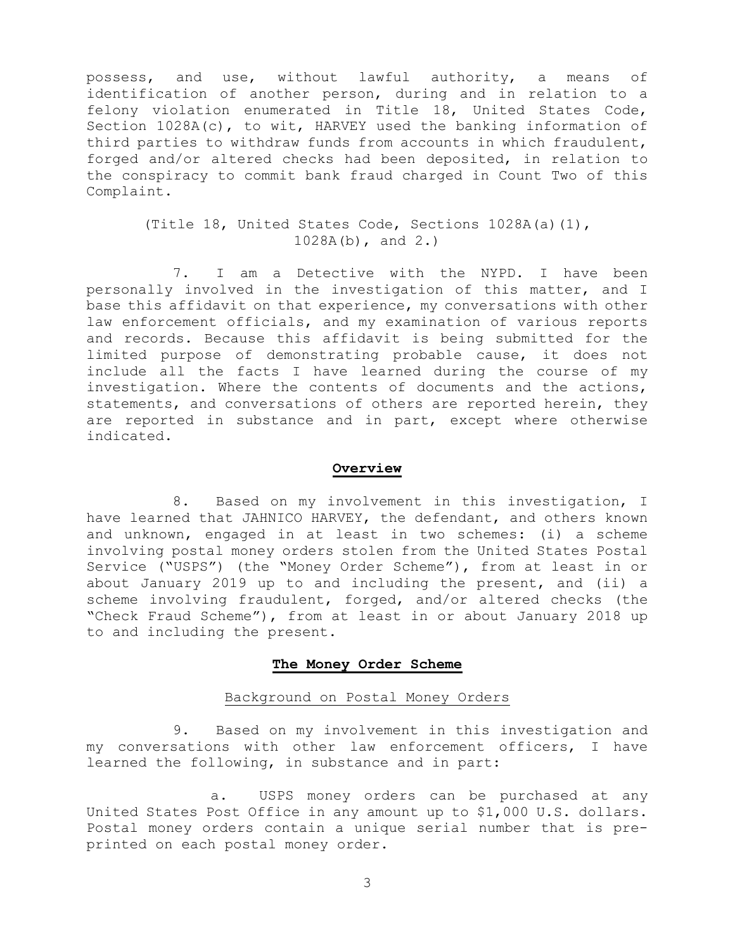possess, and use, without lawful authority, a means of identification of another person, during and in relation to a felony violation enumerated in Title 18, United States Code, Section 1028A(c), to wit, HARVEY used the banking information of third parties to withdraw funds from accounts in which fraudulent, forged and/or altered checks had been deposited, in relation to the conspiracy to commit bank fraud charged in Count Two of this Complaint.

> (Title 18, United States Code, Sections 1028A(a)(1), 1028A(b), and 2.)

7. I am a Detective with the NYPD. I have been personally involved in the investigation of this matter, and I base this affidavit on that experience, my conversations with other law enforcement officials, and my examination of various reports and records. Because this affidavit is being submitted for the limited purpose of demonstrating probable cause, it does not include all the facts I have learned during the course of my investigation. Where the contents of documents and the actions, statements, and conversations of others are reported herein, they are reported in substance and in part, except where otherwise indicated.

#### **Overview**

8. Based on my involvement in this investigation, I have learned that JAHNICO HARVEY, the defendant, and others known and unknown, engaged in at least in two schemes: (i) a scheme involving postal money orders stolen from the United States Postal Service ("USPS") (the "Money Order Scheme"), from at least in or about January 2019 up to and including the present, and (ii) a scheme involving fraudulent, forged, and/or altered checks (the "Check Fraud Scheme"), from at least in or about January 2018 up to and including the present.

#### **The Money Order Scheme**

#### Background on Postal Money Orders

9. Based on my involvement in this investigation and my conversations with other law enforcement officers, I have learned the following, in substance and in part:

a. USPS money orders can be purchased at any United States Post Office in any amount up to \$1,000 U.S. dollars. Postal money orders contain a unique serial number that is preprinted on each postal money order.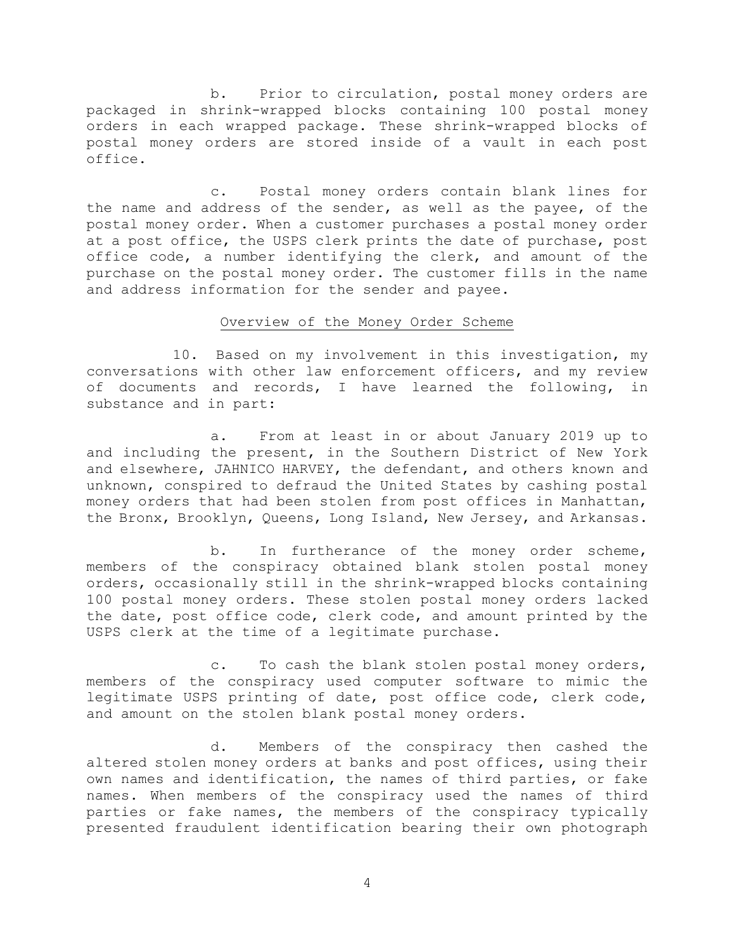b. Prior to circulation, postal money orders are packaged in shrink-wrapped blocks containing 100 postal money orders in each wrapped package. These shrink-wrapped blocks of postal money orders are stored inside of a vault in each post office.

c. Postal money orders contain blank lines for the name and address of the sender, as well as the payee, of the postal money order. When a customer purchases a postal money order at a post office, the USPS clerk prints the date of purchase, post office code, a number identifying the clerk, and amount of the purchase on the postal money order. The customer fills in the name and address information for the sender and payee.

# Overview of the Money Order Scheme

10. Based on my involvement in this investigation, my conversations with other law enforcement officers, and my review of documents and records, I have learned the following, in substance and in part:

a. From at least in or about January 2019 up to and including the present, in the Southern District of New York and elsewhere, JAHNICO HARVEY, the defendant, and others known and unknown, conspired to defraud the United States by cashing postal money orders that had been stolen from post offices in Manhattan, the Bronx, Brooklyn, Queens, Long Island, New Jersey, and Arkansas.

b. In furtherance of the money order scheme, members of the conspiracy obtained blank stolen postal money orders, occasionally still in the shrink-wrapped blocks containing 100 postal money orders. These stolen postal money orders lacked the date, post office code, clerk code, and amount printed by the USPS clerk at the time of a legitimate purchase.

c. To cash the blank stolen postal money orders, members of the conspiracy used computer software to mimic the legitimate USPS printing of date, post office code, clerk code, and amount on the stolen blank postal money orders.

d. Members of the conspiracy then cashed the altered stolen money orders at banks and post offices, using their own names and identification, the names of third parties, or fake names. When members of the conspiracy used the names of third parties or fake names, the members of the conspiracy typically presented fraudulent identification bearing their own photograph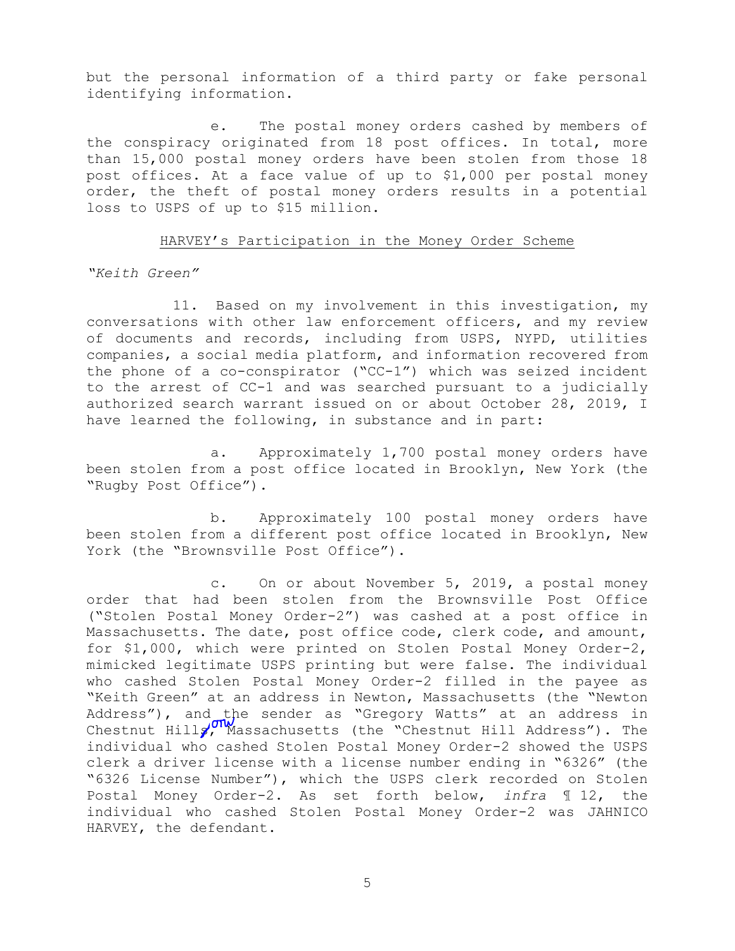but the personal information of a third party or fake personal identifying information.

e. The postal money orders cashed by members of the conspiracy originated from 18 post offices. In total, more than 15,000 postal money orders have been stolen from those 18 post offices. At a face value of up to \$1,000 per postal money order, the theft of postal money orders results in a potential loss to USPS of up to \$15 million.

# HARVEY's Participation in the Money Order Scheme

*"Keith Green"* 

11. Based on my involvement in this investigation, my conversations with other law enforcement officers, and my review of documents and records, including from USPS, NYPD, utilities companies, a social media platform, and information recovered from the phone of a co-conspirator ("CC-1") which was seized incident to the arrest of CC-1 and was searched pursuant to a judicially authorized search warrant issued on or about October 28, 2019, I have learned the following, in substance and in part:

a. Approximately 1,700 postal money orders have been stolen from a post office located in Brooklyn, New York (the "Rugby Post Office").

b. Approximately 100 postal money orders have been stolen from a different post office located in Brooklyn, New York (the "Brownsville Post Office").

c. On or about November 5, 2019, a postal money order that had been stolen from the Brownsville Post Office ("Stolen Postal Money Order-2") was cashed at a post office in Massachusetts. The date, post office code, clerk code, and amount, for \$1,000, which were printed on Stolen Postal Money Order-2, mimicked legitimate USPS printing but were false. The individual who cashed Stolen Postal Money Order-2 filled in the payee as "Keith Green" at an address in Newton, Massachusetts (the "Newton Address"), and the sender as "Gregory Watts" at an address in Chestnut Hills, Massachusetts (the "Chestnut Hill Address"). The individual who cashed Stolen Postal Money Order-2 showed the USPS clerk a driver license with a license number ending in "6326" (the "6326 License Number"), which the USPS clerk recorded on Stolen Postal Money Order-2. As set forth below, *infra* ¶ 12, the individual who cashed Stolen Postal Money Order-2 was JAHNICO HARVEY, the defendant.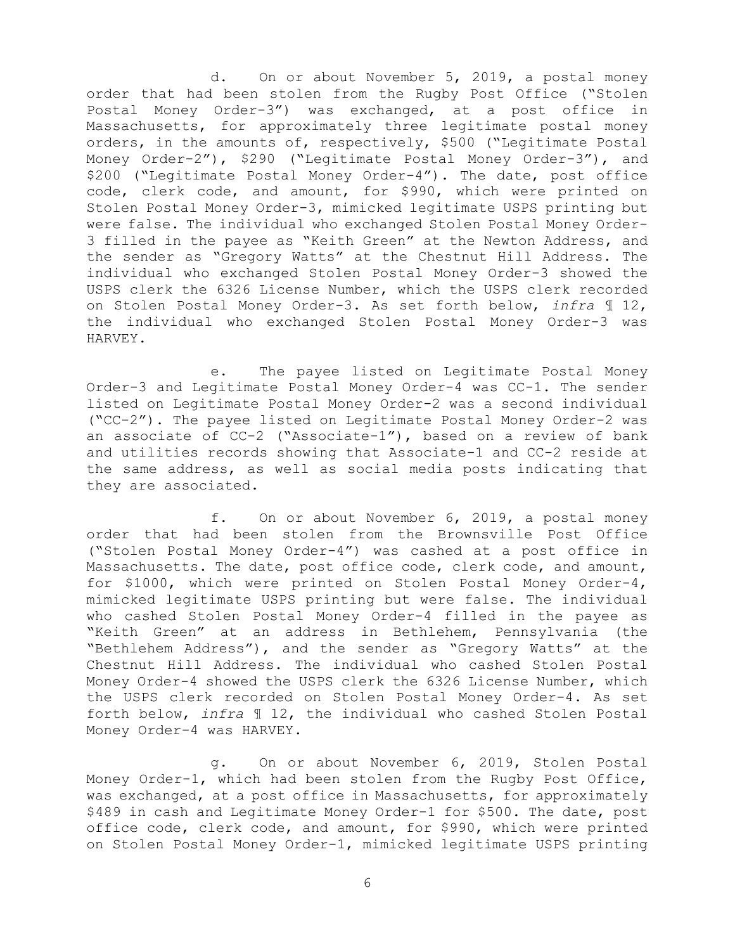d. On or about November 5, 2019, a postal money order that had been stolen from the Rugby Post Office ("Stolen Postal Money Order-3") was exchanged, at a post office in Massachusetts, for approximately three legitimate postal money orders, in the amounts of, respectively, \$500 ("Legitimate Postal Money Order-2"), \$290 ("Legitimate Postal Money Order-3"), and \$200 ("Legitimate Postal Money Order-4"). The date, post office code, clerk code, and amount, for \$990, which were printed on Stolen Postal Money Order-3, mimicked legitimate USPS printing but were false. The individual who exchanged Stolen Postal Money Order-3 filled in the payee as "Keith Green" at the Newton Address, and the sender as "Gregory Watts" at the Chestnut Hill Address. The individual who exchanged Stolen Postal Money Order-3 showed the USPS clerk the 6326 License Number, which the USPS clerk recorded on Stolen Postal Money Order-3. As set forth below, *infra* ¶ 12, the individual who exchanged Stolen Postal Money Order-3 was HARVEY.

e. The payee listed on Legitimate Postal Money Order-3 and Legitimate Postal Money Order-4 was CC-1. The sender listed on Legitimate Postal Money Order-2 was a second individual ("CC-2"). The payee listed on Legitimate Postal Money Order-2 was an associate of CC-2 ("Associate-1"), based on a review of bank and utilities records showing that Associate-1 and CC-2 reside at the same address, as well as social media posts indicating that they are associated.

f. On or about November 6, 2019, a postal money order that had been stolen from the Brownsville Post Office ("Stolen Postal Money Order-4") was cashed at a post office in Massachusetts. The date, post office code, clerk code, and amount, for \$1000, which were printed on Stolen Postal Money Order-4, mimicked legitimate USPS printing but were false. The individual who cashed Stolen Postal Money Order-4 filled in the payee as "Keith Green" at an address in Bethlehem, Pennsylvania (the "Bethlehem Address"), and the sender as "Gregory Watts" at the Chestnut Hill Address. The individual who cashed Stolen Postal Money Order-4 showed the USPS clerk the 6326 License Number, which the USPS clerk recorded on Stolen Postal Money Order-4. As set forth below, *infra* ¶ 12, the individual who cashed Stolen Postal Money Order-4 was HARVEY.

g. On or about November 6, 2019, Stolen Postal Money Order-1, which had been stolen from the Rugby Post Office, was exchanged, at a post office in Massachusetts, for approximately \$489 in cash and Legitimate Money Order-1 for \$500. The date, post office code, clerk code, and amount, for \$990, which were printed on Stolen Postal Money Order-1, mimicked legitimate USPS printing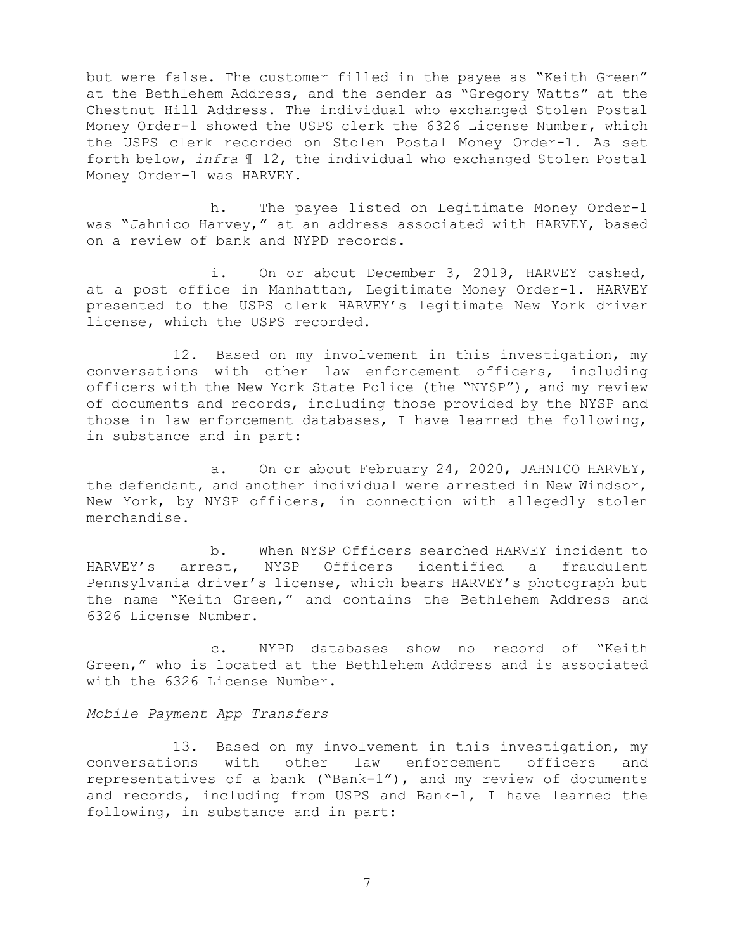but were false. The customer filled in the payee as "Keith Green" at the Bethlehem Address, and the sender as "Gregory Watts" at the Chestnut Hill Address. The individual who exchanged Stolen Postal Money Order-1 showed the USPS clerk the 6326 License Number, which the USPS clerk recorded on Stolen Postal Money Order-1. As set forth below, *infra* ¶ 12, the individual who exchanged Stolen Postal Money Order-1 was HARVEY.

h. The payee listed on Legitimate Money Order-1 was "Jahnico Harvey," at an address associated with HARVEY, based on a review of bank and NYPD records.

i. On or about December 3, 2019, HARVEY cashed, at a post office in Manhattan, Legitimate Money Order-1. HARVEY presented to the USPS clerk HARVEY's legitimate New York driver license, which the USPS recorded.

12. Based on my involvement in this investigation, my conversations with other law enforcement officers, including officers with the New York State Police (the "NYSP"), and my review of documents and records, including those provided by the NYSP and those in law enforcement databases, I have learned the following, in substance and in part:

a. On or about February 24, 2020, JAHNICO HARVEY, the defendant, and another individual were arrested in New Windsor, New York, by NYSP officers, in connection with allegedly stolen merchandise.

b. When NYSP Officers searched HARVEY incident to HARVEY's arrest, NYSP Officers identified a fraudulent Pennsylvania driver's license, which bears HARVEY's photograph but the name "Keith Green," and contains the Bethlehem Address and 6326 License Number.

c. NYPD databases show no record of "Keith Green," who is located at the Bethlehem Address and is associated with the 6326 License Number.

### *Mobile Payment App Transfers*

13. Based on my involvement in this investigation, my conversations with other law enforcement officers and representatives of a bank ("Bank-1"), and my review of documents and records, including from USPS and Bank-1, I have learned the following, in substance and in part: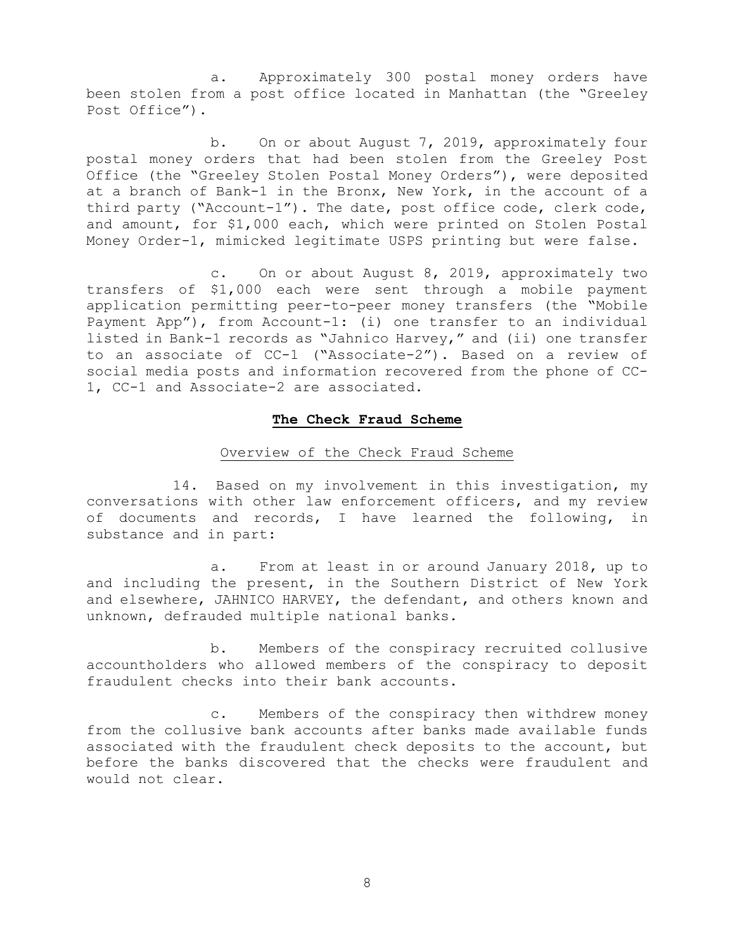a. Approximately 300 postal money orders have been stolen from a post office located in Manhattan (the "Greeley Post Office").

b. On or about August 7, 2019, approximately four postal money orders that had been stolen from the Greeley Post Office (the "Greeley Stolen Postal Money Orders"), were deposited at a branch of Bank-1 in the Bronx, New York, in the account of a third party ("Account-1"). The date, post office code, clerk code, and amount, for \$1,000 each, which were printed on Stolen Postal Money Order-1, mimicked legitimate USPS printing but were false.

c. On or about August 8, 2019, approximately two transfers of \$1,000 each were sent through a mobile payment application permitting peer-to-peer money transfers (the "Mobile Payment App"), from Account-1: (i) one transfer to an individual listed in Bank-1 records as "Jahnico Harvey," and (ii) one transfer to an associate of CC-1 ("Associate-2"). Based on a review of social media posts and information recovered from the phone of CC-1, CC-1 and Associate-2 are associated.

# **The Check Fraud Scheme**

# Overview of the Check Fraud Scheme

14. Based on my involvement in this investigation, my conversations with other law enforcement officers, and my review of documents and records, I have learned the following, in substance and in part:

a. From at least in or around January 2018, up to and including the present, in the Southern District of New York and elsewhere, JAHNICO HARVEY, the defendant, and others known and unknown, defrauded multiple national banks.

b. Members of the conspiracy recruited collusive accountholders who allowed members of the conspiracy to deposit fraudulent checks into their bank accounts.

c. Members of the conspiracy then withdrew money from the collusive bank accounts after banks made available funds associated with the fraudulent check deposits to the account, but before the banks discovered that the checks were fraudulent and would not clear.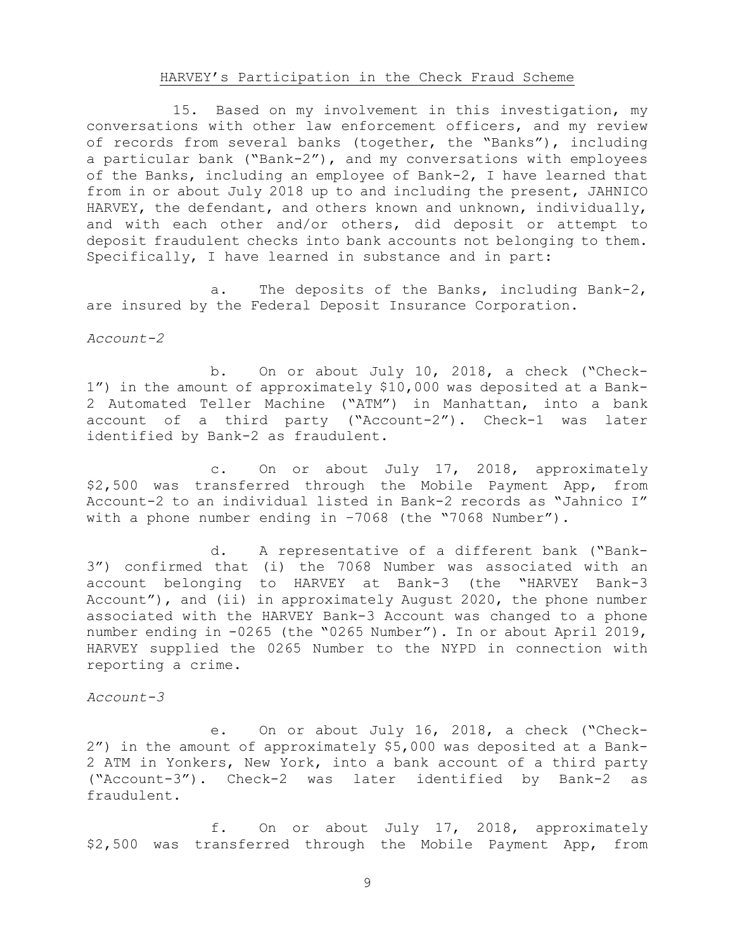# HARVEY's Participation in the Check Fraud Scheme

15. Based on my involvement in this investigation, my conversations with other law enforcement officers, and my review of records from several banks (together, the "Banks"), including a particular bank ("Bank-2"), and my conversations with employees of the Banks, including an employee of Bank-2, I have learned that from in or about July 2018 up to and including the present, JAHNICO HARVEY, the defendant, and others known and unknown, individually, and with each other and/or others, did deposit or attempt to deposit fraudulent checks into bank accounts not belonging to them. Specifically, I have learned in substance and in part:

a. The deposits of the Banks, including Bank-2, are insured by the Federal Deposit Insurance Corporation.

*Account-2* 

b. On or about July 10, 2018, a check ("Check-1") in the amount of approximately \$10,000 was deposited at a Bank-2 Automated Teller Machine ("ATM") in Manhattan, into a bank account of a third party ("Account-2"). Check-1 was later identified by Bank-2 as fraudulent.

c. On or about July 17, 2018, approximately \$2,500 was transferred through the Mobile Payment App, from Account-2 to an individual listed in Bank-2 records as "Jahnico I" with a phone number ending in -7068 (the "7068 Number").

d. A representative of a different bank ("Bank-3") confirmed that (i) the 7068 Number was associated with an account belonging to HARVEY at Bank-3 (the "HARVEY Bank-3 Account"), and (ii) in approximately August 2020, the phone number associated with the HARVEY Bank-3 Account was changed to a phone number ending in -0265 (the "0265 Number"). In or about April 2019, HARVEY supplied the 0265 Number to the NYPD in connection with reporting a crime.

*Account-3* 

e. On or about July 16, 2018, a check ("Check-2") in the amount of approximately \$5,000 was deposited at a Bank-2 ATM in Yonkers, New York, into a bank account of a third party ("Account-3"). Check-2 was later identified by Bank-2 as fraudulent.

f. On or about July 17, 2018, approximately \$2,500 was transferred through the Mobile Payment App, from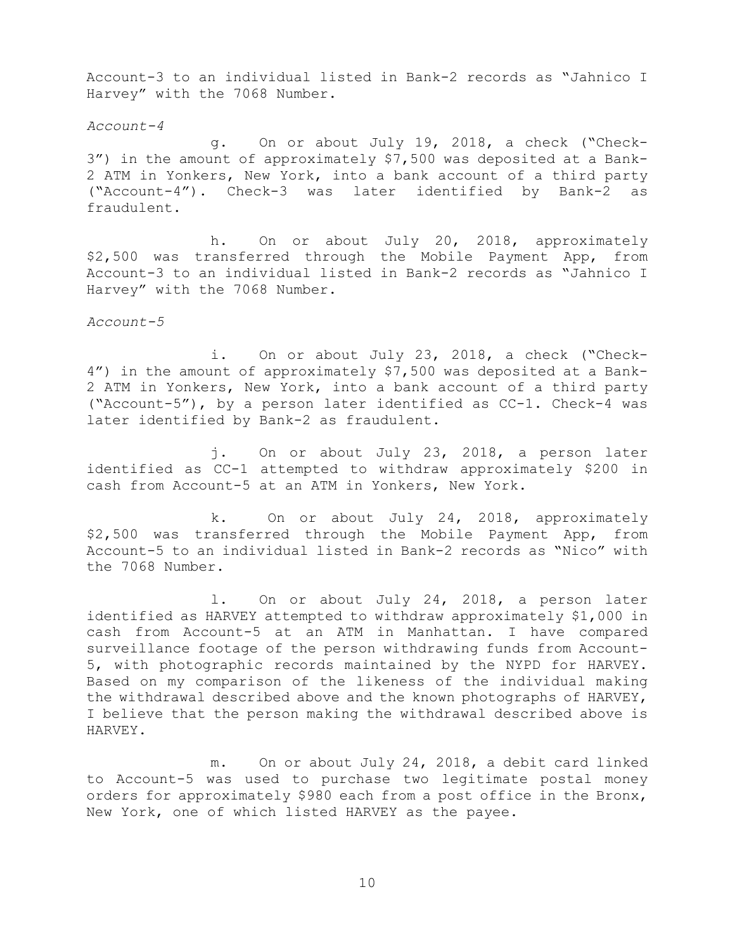Account-3 to an individual listed in Bank-2 records as "Jahnico I Harvey" with the 7068 Number.

*Account-4* 

g. On or about July 19, 2018, a check ("Check-3") in the amount of approximately \$7,500 was deposited at a Bank-2 ATM in Yonkers, New York, into a bank account of a third party ("Account-4"). Check-3 was later identified by Bank-2 as fraudulent.

h. On or about July 20, 2018, approximately \$2,500 was transferred through the Mobile Payment App, from Account-3 to an individual listed in Bank-2 records as "Jahnico I Harvey" with the 7068 Number.

*Account-5* 

i. On or about July 23, 2018, a check ("Check-4") in the amount of approximately \$7,500 was deposited at a Bank-2 ATM in Yonkers, New York, into a bank account of a third party ("Account-5"), by a person later identified as CC-1. Check-4 was later identified by Bank-2 as fraudulent.

j. On or about July 23, 2018, a person later identified as CC-1 attempted to withdraw approximately \$200 in cash from Account-5 at an ATM in Yonkers, New York.

k. On or about July 24, 2018, approximately \$2,500 was transferred through the Mobile Payment App, from Account-5 to an individual listed in Bank-2 records as "Nico" with the 7068 Number.

l. On or about July 24, 2018, a person later identified as HARVEY attempted to withdraw approximately \$1,000 in cash from Account-5 at an ATM in Manhattan. I have compared surveillance footage of the person withdrawing funds from Account-5, with photographic records maintained by the NYPD for HARVEY. Based on my comparison of the likeness of the individual making the withdrawal described above and the known photographs of HARVEY, I believe that the person making the withdrawal described above is HARVEY.

m. On or about July 24, 2018, a debit card linked to Account-5 was used to purchase two legitimate postal money orders for approximately \$980 each from a post office in the Bronx, New York, one of which listed HARVEY as the payee.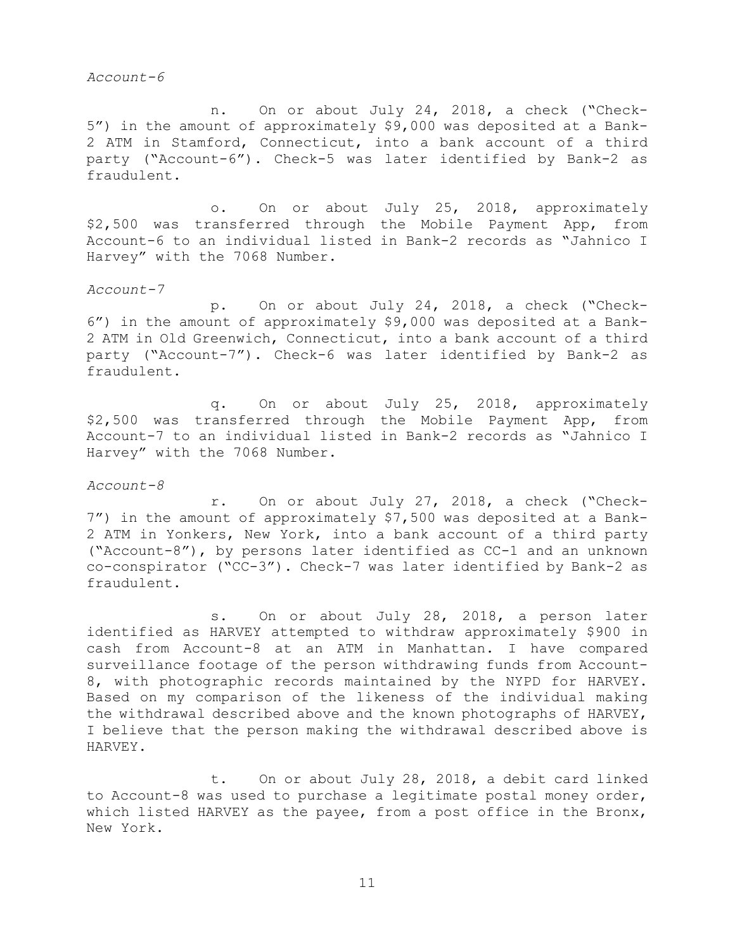*Account-6* 

n. On or about July 24, 2018, a check ("Check-5") in the amount of approximately \$9,000 was deposited at a Bank-2 ATM in Stamford, Connecticut, into a bank account of a third party ("Account-6"). Check-5 was later identified by Bank-2 as fraudulent.

o. On or about July 25, 2018, approximately \$2,500 was transferred through the Mobile Payment App, from Account-6 to an individual listed in Bank-2 records as "Jahnico I Harvey" with the 7068 Number.

*Account-7* 

p. On or about July 24, 2018, a check ("Check-6") in the amount of approximately \$9,000 was deposited at a Bank-2 ATM in Old Greenwich, Connecticut, into a bank account of a third party ("Account-7"). Check-6 was later identified by Bank-2 as fraudulent.

q. On or about July 25, 2018, approximately \$2,500 was transferred through the Mobile Payment App, from Account-7 to an individual listed in Bank-2 records as "Jahnico I Harvey" with the 7068 Number.

*Account-8* 

r. On or about July 27, 2018, a check ("Check-7") in the amount of approximately \$7,500 was deposited at a Bank-2 ATM in Yonkers, New York, into a bank account of a third party ("Account-8"), by persons later identified as CC-1 and an unknown co-conspirator ("CC-3"). Check-7 was later identified by Bank-2 as fraudulent.

s. On or about July 28, 2018, a person later identified as HARVEY attempted to withdraw approximately \$900 in cash from Account-8 at an ATM in Manhattan. I have compared surveillance footage of the person withdrawing funds from Account-8, with photographic records maintained by the NYPD for HARVEY. Based on my comparison of the likeness of the individual making the withdrawal described above and the known photographs of HARVEY, I believe that the person making the withdrawal described above is HARVEY.

t. On or about July 28, 2018, a debit card linked to Account-8 was used to purchase a legitimate postal money order, which listed HARVEY as the payee, from a post office in the Bronx, New York.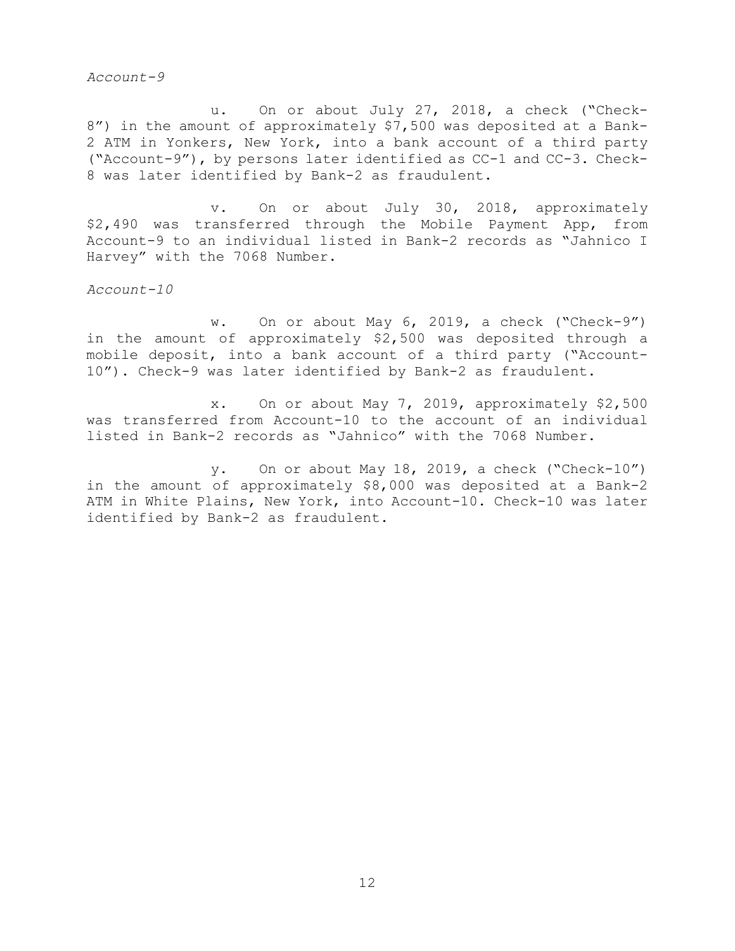*Account-9* 

u. On or about July 27, 2018, a check ("Check-8") in the amount of approximately \$7,500 was deposited at a Bank-2 ATM in Yonkers, New York, into a bank account of a third party ("Account-9"), by persons later identified as CC-1 and CC-3. Check-8 was later identified by Bank-2 as fraudulent.

v. On or about July 30, 2018, approximately \$2,490 was transferred through the Mobile Payment App, from Account-9 to an individual listed in Bank-2 records as "Jahnico I Harvey" with the 7068 Number.

*Account-10* 

w. On or about May 6, 2019, a check ("Check-9") in the amount of approximately \$2,500 was deposited through a mobile deposit, into a bank account of a third party ("Account-10"). Check-9 was later identified by Bank-2 as fraudulent.

x. On or about May 7, 2019, approximately \$2,500 was transferred from Account-10 to the account of an individual listed in Bank-2 records as "Jahnico" with the 7068 Number.

y. On or about May 18, 2019, a check ("Check-10") in the amount of approximately \$8,000 was deposited at a Bank-2 ATM in White Plains, New York, into Account-10. Check-10 was later identified by Bank-2 as fraudulent.